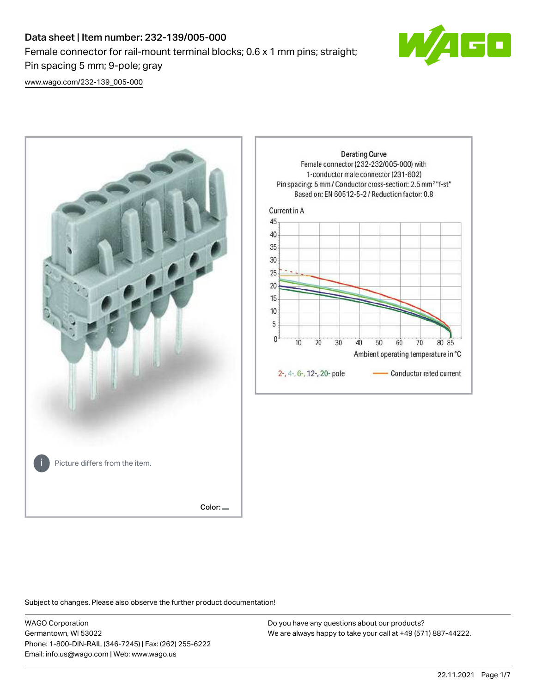# Data sheet | Item number: 232-139/005-000 Female connector for rail-mount terminal blocks; 0.6 x 1 mm pins; straight; Pin spacing 5 mm; 9-pole; gray



[www.wago.com/232-139\\_005-000](http://www.wago.com/232-139_005-000)



Subject to changes. Please also observe the further product documentation!

WAGO Corporation Germantown, WI 53022 Phone: 1-800-DIN-RAIL (346-7245) | Fax: (262) 255-6222 Email: info.us@wago.com | Web: www.wago.us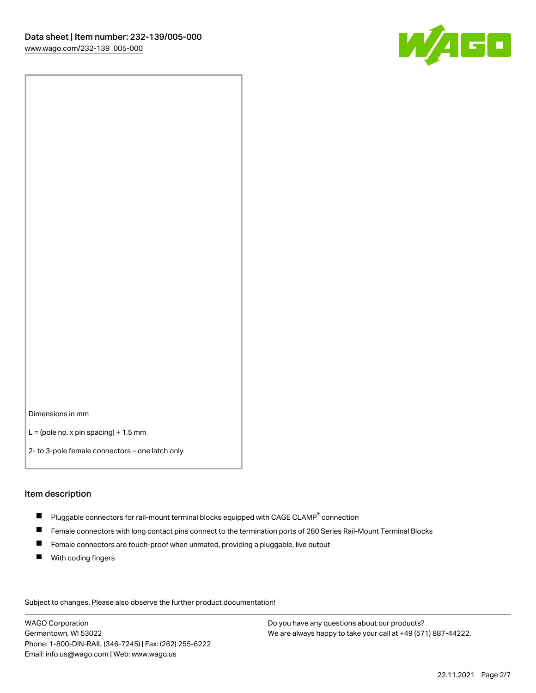

Dimensions in mm

 $L =$  (pole no. x pin spacing) + 1.5 mm

2- to 3-pole female connectors – one latch only

#### Item description

- $\blacksquare$  Pluggable connectors for rail-mount terminal blocks equipped with CAGE CLAMP $^\circ$  connection
- Female connectors with long contact pins connect to the termination ports of 280 Series Rail-Mount Terminal Blocks
- $\blacksquare$ Female connectors are touch-proof when unmated, providing a pluggable, live output
- $\blacksquare$ With coding fingers

Subject to changes. Please also observe the further product documentation! Data

WAGO Corporation Germantown, WI 53022 Phone: 1-800-DIN-RAIL (346-7245) | Fax: (262) 255-6222 Email: info.us@wago.com | Web: www.wago.us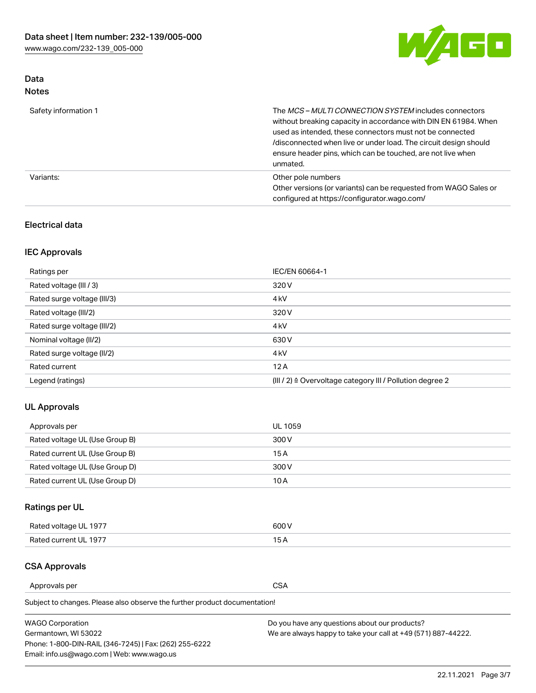

# Data Notes

| Safety information 1 | The MCS-MULTI CONNECTION SYSTEM includes connectors<br>without breaking capacity in accordance with DIN EN 61984. When<br>used as intended, these connectors must not be connected<br>/disconnected when live or under load. The circuit design should<br>ensure header pins, which can be touched, are not live when<br>unmated. |
|----------------------|-----------------------------------------------------------------------------------------------------------------------------------------------------------------------------------------------------------------------------------------------------------------------------------------------------------------------------------|
| Variants:            | Other pole numbers<br>Other versions (or variants) can be requested from WAGO Sales or<br>configured at https://configurator.wago.com/                                                                                                                                                                                            |

## Electrical data

# IEC Approvals

| Ratings per                 | IEC/EN 60664-1                                                        |
|-----------------------------|-----------------------------------------------------------------------|
| Rated voltage (III / 3)     | 320 V                                                                 |
| Rated surge voltage (III/3) | 4 <sub>k</sub> V                                                      |
| Rated voltage (III/2)       | 320 V                                                                 |
| Rated surge voltage (III/2) | 4 <sub>k</sub> V                                                      |
| Nominal voltage (II/2)      | 630 V                                                                 |
| Rated surge voltage (II/2)  | 4 <sub>k</sub> V                                                      |
| Rated current               | 12A                                                                   |
| Legend (ratings)            | $(III / 2)$ $\triangle$ Overvoltage category III / Pollution degree 2 |

## UL Approvals

| Approvals per                  | UL 1059 |
|--------------------------------|---------|
| Rated voltage UL (Use Group B) | 300 V   |
| Rated current UL (Use Group B) | 15 A    |
| Rated voltage UL (Use Group D) | 300 V   |
| Rated current UL (Use Group D) | 10 A    |

# Ratings per UL

| Rated voltage UL 1977 | 600 V         |
|-----------------------|---------------|
| Rated current UL 1977 | $\sim$ $\sim$ |

### CSA Approvals

Approvals per CSA

Subject to changes. Please also observe the further product documentation!

| <b>WAGO Corporation</b>                                | Do you have any questions about our products?                 |
|--------------------------------------------------------|---------------------------------------------------------------|
| Germantown, WI 53022                                   | We are always happy to take your call at +49 (571) 887-44222. |
| Phone: 1-800-DIN-RAIL (346-7245)   Fax: (262) 255-6222 |                                                               |
| Email: info.us@wago.com   Web: www.wago.us             |                                                               |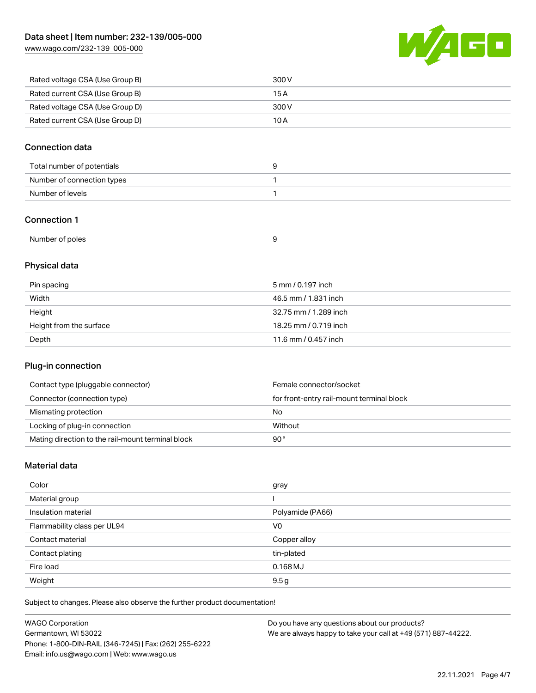[www.wago.com/232-139\\_005-000](http://www.wago.com/232-139_005-000)



| Rated voltage CSA (Use Group B) | 300 V |
|---------------------------------|-------|
| Rated current CSA (Use Group B) | 15 A  |
| Rated voltage CSA (Use Group D) | 300 V |
| Rated current CSA (Use Group D) | 10 A  |

## Connection data

| Total number of potentials |  |
|----------------------------|--|
| Number of connection types |  |
| Number of levels           |  |

### Connection 1

| Number of poles |  |
|-----------------|--|
|                 |  |

# Physical data

| Pin spacing             | 5 mm / 0.197 inch     |
|-------------------------|-----------------------|
| Width                   | 46.5 mm / 1.831 inch  |
| Height                  | 32.75 mm / 1.289 inch |
| Height from the surface | 18.25 mm / 0.719 inch |
| Depth                   | 11.6 mm / 0.457 inch  |

# Plug-in connection

| Contact type (pluggable connector)                | Female connector/socket                   |
|---------------------------------------------------|-------------------------------------------|
| Connector (connection type)                       | for front-entry rail-mount terminal block |
| Mismating protection                              | No                                        |
| Locking of plug-in connection                     | Without                                   |
| Mating direction to the rail-mount terminal block | 90°                                       |

## Material data

| Color                       | gray             |
|-----------------------------|------------------|
| Material group              |                  |
| Insulation material         | Polyamide (PA66) |
| Flammability class per UL94 | V <sub>0</sub>   |
| Contact material            | Copper alloy     |
| Contact plating             | tin-plated       |
| Fire load                   | $0.168$ MJ       |
| Weight                      | 9.5g             |

Subject to changes. Please also observe the further product documentation!

| <b>WAGO Corporation</b>                                | Do you have any questions about our products?                 |
|--------------------------------------------------------|---------------------------------------------------------------|
| Germantown, WI 53022                                   | We are always happy to take your call at +49 (571) 887-44222. |
| Phone: 1-800-DIN-RAIL (346-7245)   Fax: (262) 255-6222 |                                                               |
| Email: info.us@wago.com   Web: www.wago.us             |                                                               |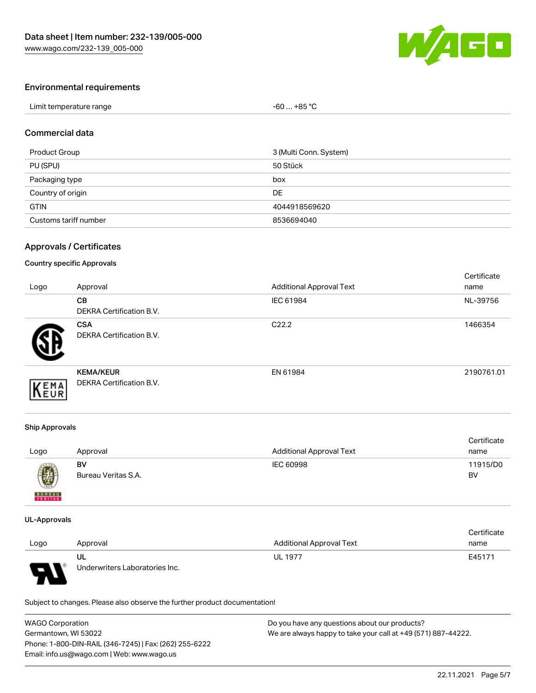

## Environmental requirements

| Limit temperature range | $-60+85 °C$ |
|-------------------------|-------------|
|-------------------------|-------------|

#### Commercial data

| Product Group         | 3 (Multi Conn. System) |
|-----------------------|------------------------|
| PU (SPU)              | 50 Stück               |
| Packaging type        | box                    |
| Country of origin     | DE                     |
| <b>GTIN</b>           | 4044918569620          |
| Customs tariff number | 8536694040             |

## Approvals / Certificates

#### Country specific Approvals

| Logo | Approval                                            | <b>Additional Approval Text</b> | Certificate<br>name |
|------|-----------------------------------------------------|---------------------------------|---------------------|
|      | <b>CB</b><br><b>DEKRA Certification B.V.</b>        | IEC 61984                       | NL-39756            |
|      | <b>CSA</b><br>DEKRA Certification B.V.              | C <sub>22.2</sub>               | 1466354             |
| EMA  | <b>KEMA/KEUR</b><br><b>DEKRA Certification B.V.</b> | EN 61984                        | 2190761.01          |

#### Ship Approvals

| Logo          | Approval            | <b>Additional Approval Text</b> | Certificate<br>name |
|---------------|---------------------|---------------------------------|---------------------|
| U             | BV                  | IEC 60998                       | 11915/D0            |
| <b>BUREAU</b> | Bureau Veritas S.A. |                                 | BV                  |

#### UL-Approvals

|      |                                |                                 | Certificate |
|------|--------------------------------|---------------------------------|-------------|
| Logo | Approval                       | <b>Additional Approval Text</b> | name        |
|      | UL                             | <b>UL 1977</b>                  | E45171      |
| J    | Underwriters Laboratories Inc. |                                 |             |

Subject to changes. Please also observe the further product documentation!

| <b>WAGO Corporation</b>                                | Do you have any questions about our products?                 |  |
|--------------------------------------------------------|---------------------------------------------------------------|--|
| Germantown, WI 53022                                   | We are always happy to take your call at +49 (571) 887-44222. |  |
| Phone: 1-800-DIN-RAIL (346-7245)   Fax: (262) 255-6222 |                                                               |  |
| Email: info.us@wago.com   Web: www.wago.us             |                                                               |  |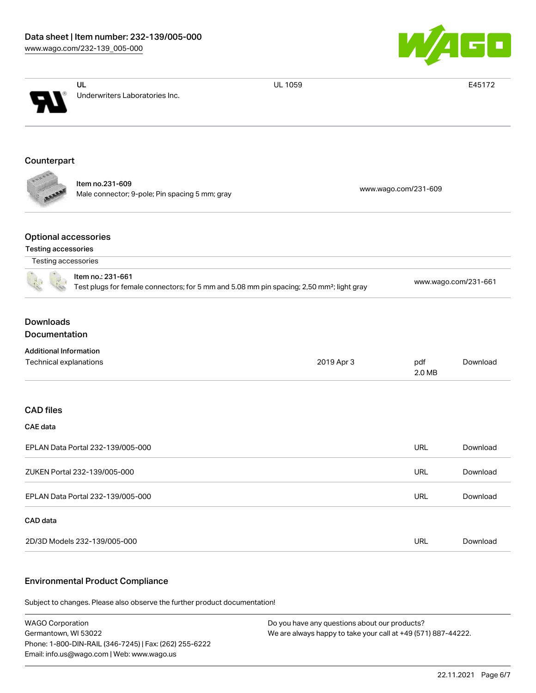

|                                                                                                                            | UL                                                                | UL 1059    |                      | E45172               |  |
|----------------------------------------------------------------------------------------------------------------------------|-------------------------------------------------------------------|------------|----------------------|----------------------|--|
|                                                                                                                            | Underwriters Laboratories Inc.                                    |            |                      |                      |  |
| Counterpart                                                                                                                |                                                                   |            |                      |                      |  |
|                                                                                                                            | Item no.231-609<br>Male connector; 9-pole; Pin spacing 5 mm; gray |            | www.wago.com/231-609 |                      |  |
| <b>Optional accessories</b><br><b>Testing accessories</b>                                                                  |                                                                   |            |                      |                      |  |
| Testing accessories                                                                                                        |                                                                   |            |                      |                      |  |
| Item no.: 231-661<br>Test plugs for female connectors; for 5 mm and 5.08 mm pin spacing; 2,50 mm <sup>2</sup> ; light gray |                                                                   |            |                      | www.wago.com/231-661 |  |
| <b>Downloads</b><br>Documentation                                                                                          |                                                                   |            |                      |                      |  |
| <b>Additional Information</b>                                                                                              |                                                                   |            |                      |                      |  |
| Technical explanations                                                                                                     |                                                                   | 2019 Apr 3 | pdf<br>2.0 MB        | Download             |  |
| <b>CAD files</b>                                                                                                           |                                                                   |            |                      |                      |  |
| CAE data                                                                                                                   |                                                                   |            |                      |                      |  |
|                                                                                                                            | EPLAN Data Portal 232-139/005-000                                 |            | URL                  | Download             |  |
|                                                                                                                            | ZUKEN Portal 232-139/005-000                                      |            | URL                  | Download             |  |
|                                                                                                                            | EPLAN Data Portal 232-139/005-000                                 |            | <b>URL</b>           | Download             |  |
| CAD data                                                                                                                   |                                                                   |            |                      |                      |  |
|                                                                                                                            | 2D/3D Models 232-139/005-000                                      |            | URL                  | Download             |  |

#### Environmental Product Compliance

Subject to changes. Please also observe the further product documentation!

WAGO Corporation Germantown, WI 53022 Phone: 1-800-DIN-RAIL (346-7245) | Fax: (262) 255-6222 Email: info.us@wago.com | Web: www.wago.us